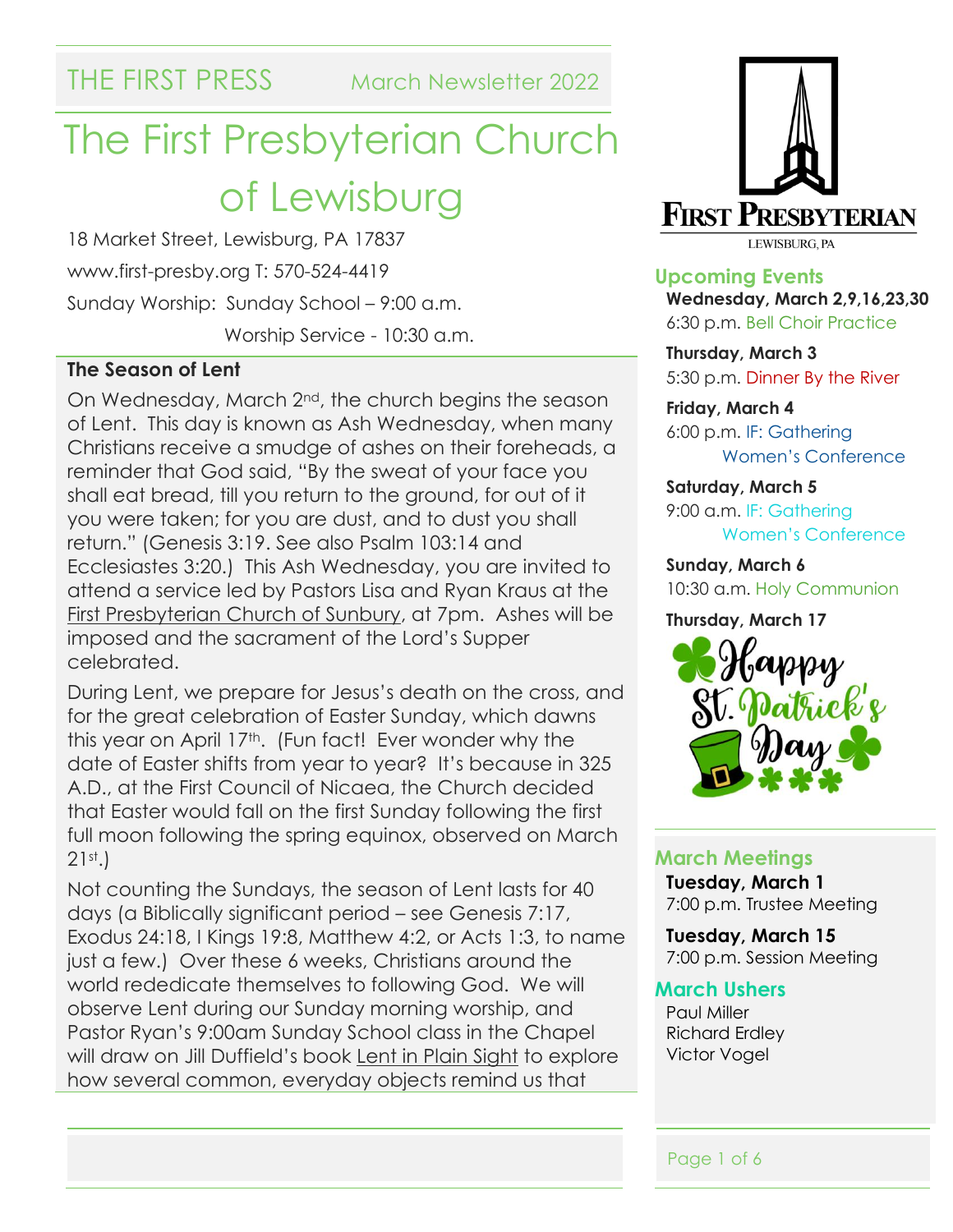THE FIRST PRESS March Newsletter 2022

## The First Presbyterian Church of Lewisburg

18 Market Street, Lewisburg, PA 17837 www.first-presby.org T: 570-524-4419 Sunday Worship: Sunday School – 9:00 a.m. Worship Service - 10:30 a.m.

#### **The Season of Lent**

On Wednesday, March 2nd, the church begins the season of Lent. This day is known as Ash Wednesday, when many Christians receive a smudge of ashes on their foreheads, a reminder that God said, "By the sweat of your face you shall eat bread, till you return to the ground, for out of it you were taken; for you are dust, and to dust you shall return." (Genesis 3:19. See also Psalm 103:14 and Ecclesiastes 3:20.) This Ash Wednesday, you are invited to attend a service led by Pastors Lisa and Ryan Kraus at the First Presbyterian Church of Sunbury, at 7pm. Ashes will be imposed and the sacrament of the Lord's Supper celebrated.

During Lent, we prepare for Jesus's death on the cross, and for the great celebration of Easter Sunday, which dawns this year on April 17th. (Fun fact! Ever wonder why the date of Easter shifts from year to year? It's because in 325 A.D., at the First Council of Nicaea, the Church decided that Easter would fall on the first Sunday following the first full moon following the spring equinox, observed on March 21st.)

Not counting the Sundays, the season of Lent lasts for 40 days (a Biblically significant period – see Genesis 7:17, Exodus 24:18, I Kings 19:8, Matthew 4:2, or Acts 1:3, to name just a few.) Over these 6 weeks, Christians around the world rededicate themselves to following God. We will observe Lent during our Sunday morning worship, and Pastor Ryan's 9:00am Sunday School class in the Chapel will draw on Jill Duffield's book Lent in Plain Sight to explore how several common, everyday objects remind us that



**Upcoming Events Wednesday, March 2,9,16,23,30** 6:30 p.m. Bell Choir Practice

**Thursday, March 3** 5:30 p.m. Dinner By the River

**Friday, March 4** 6:00 p.m. IF: Gathering Women's Conference

**Saturday, March 5** 9:00 a.m. IF: Gathering Women's Conference

**Sunday, March 6** 10:30 a.m. Holy Communion

#### **Thursday, March 17**



#### **March Meetings**

**Tuesday, March 1** 7:00 p.m. Trustee Meeting

**Tuesday, March 15** 7:00 p.m. Session Meeting

#### **March Ushers**

Paul Miller Richard Erdley Victor Vogel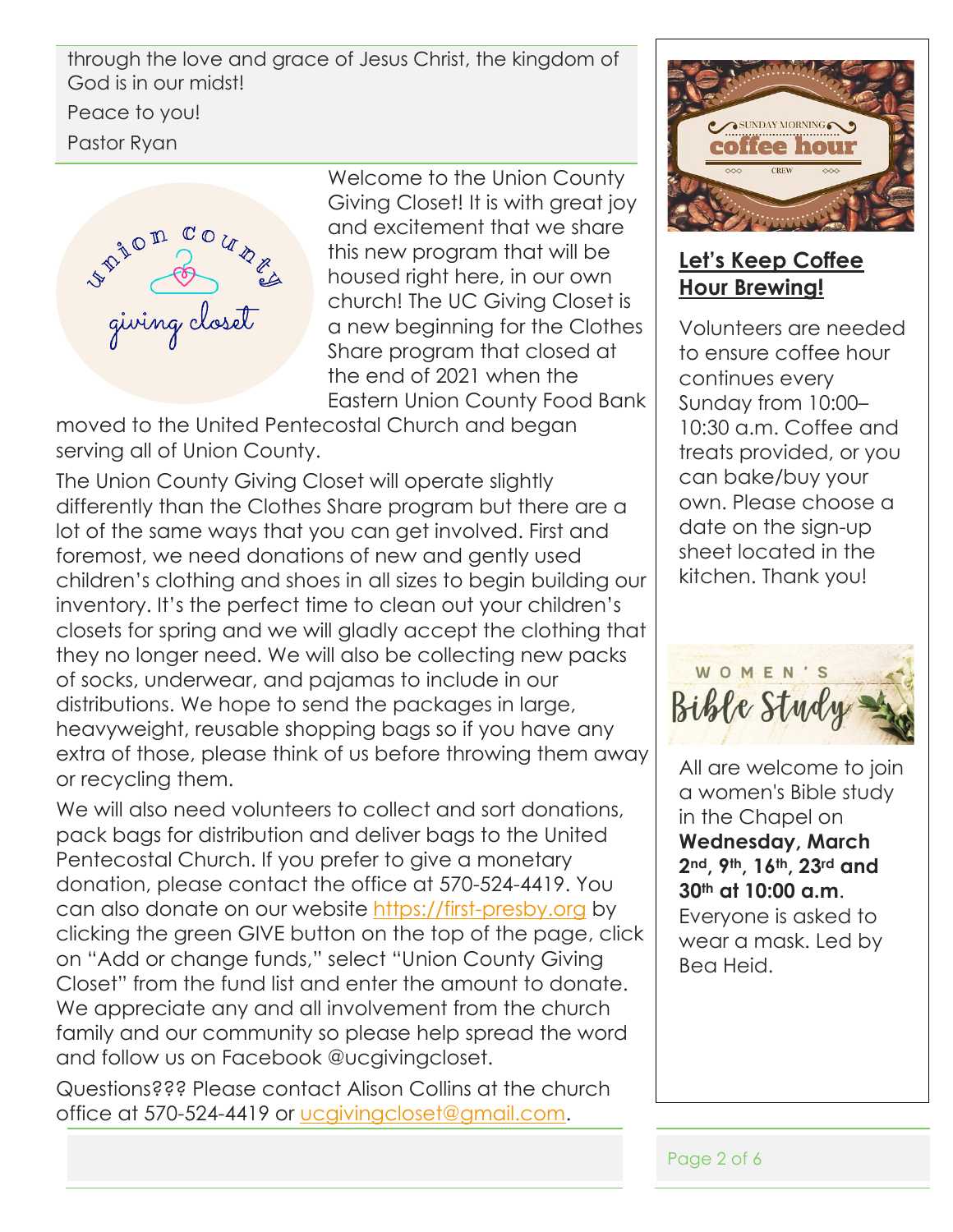through the love and grace of Jesus Christ, the kingdom of God is in our midst!

Peace to you!

Pastor Ryan



Welcome to the Union County Giving Closet! It is with great joy and excitement that we share this new program that will be housed right here, in our own church! The UC Giving Closet is a new beginning for the Clothes Share program that closed at the end of 2021 when the Eastern Union County Food Bank

moved to the United Pentecostal Church and began serving all of Union County.

The Union County Giving Closet will operate slightly differently than the Clothes Share program but there are a lot of the same ways that you can get involved. First and foremost, we need donations of new and gently used children's clothing and shoes in all sizes to begin building our inventory. It's the perfect time to clean out your children's closets for spring and we will gladly accept the clothing that they no longer need. We will also be collecting new packs of socks, underwear, and pajamas to include in our distributions. We hope to send the packages in large, heavyweight, reusable shopping bags so if you have any extra of those, please think of us before throwing them away or recycling them.

We will also need volunteers to collect and sort donations, pack bags for distribution and deliver bags to the United Pentecostal Church. If you prefer to give a monetary donation, please contact the office at 570-524-4419. You can also donate on our website [https://first-presby.org](https://first-presby.org/) by clicking the green GIVE button on the top of the page, click on "Add or change funds," select "Union County Giving Closet" from the fund list and enter the amount to donate. We appreciate any and all involvement from the church family and our community so please help spread the word and follow us on Facebook @ucgivingcloset.

Questions??? Please contact Alison Collins at the church office at 570-524-4419 or [ucgivingcloset@gmail.com.](mailto:ucgivingcloset@gmail.com)



#### **Let's Keep Coffee Hour Brewing!**

Volunteers are needed to ensure coffee hour continues every Sunday from 10:00– 10:30 a.m. Coffee and treats provided, or you can bake/buy your own. Please choose a date on the sign-up sheet located in the kitchen. Thank you!



All are welcome to join a women's Bible study in the Chapel on **Wednesday, March 2nd, 9th, 16th, 23rd and 30th at 10:00 a.m**. Everyone is asked to wear a mask. Led by Bea Heid.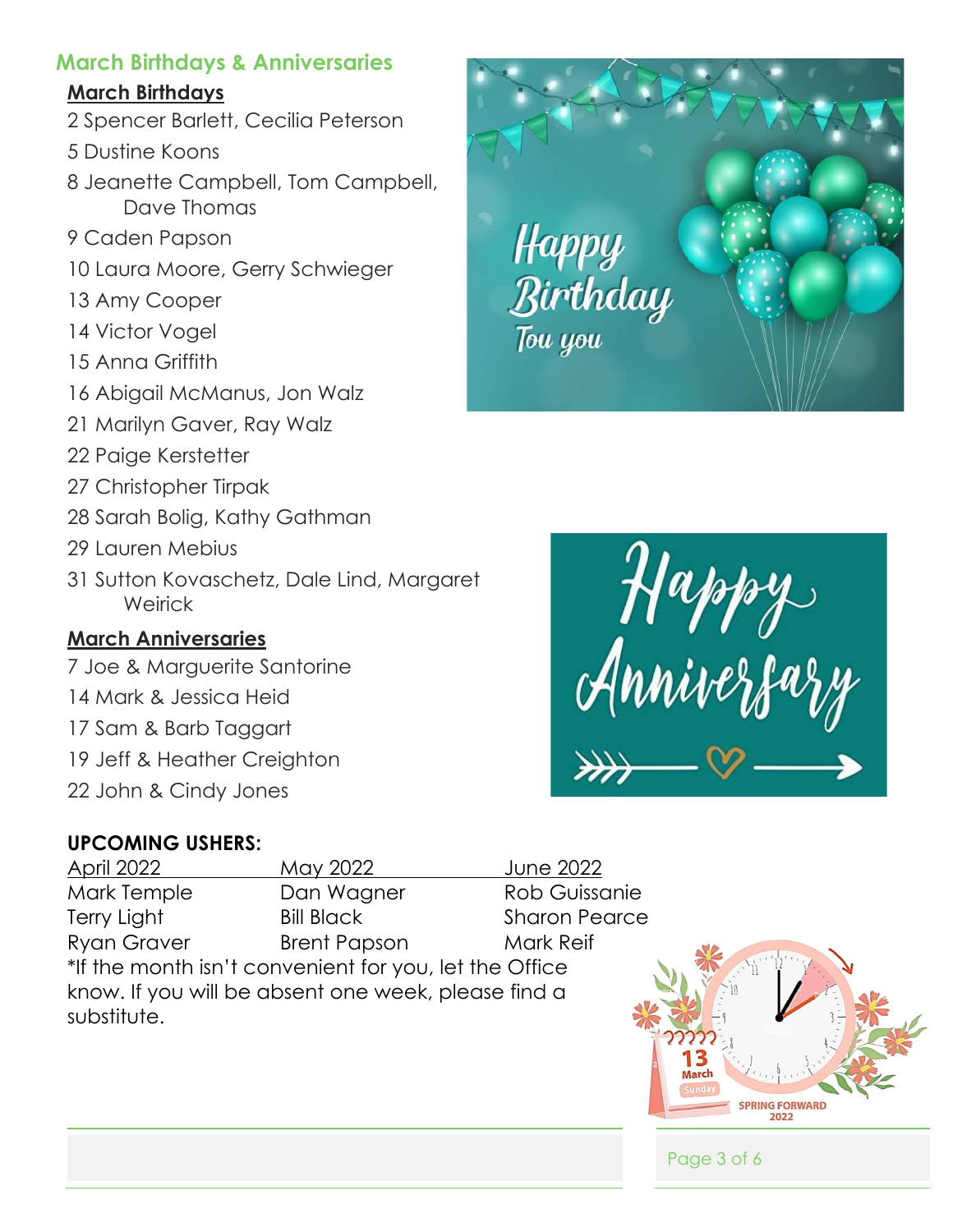#### **March Birthdays & Anniversaries**

#### **March Birthdays**

- 2 Spencer Barlett, Cecilia Peterson
- 5 Dustine Koons
- 8 Jeanette Campbell, Tom Campbell, Dave Thomas
- 9 Caden Papson
- 10 Laura Moore, Gerry Schwieger
- 13 Amy Cooper
- 14 Victor Vogel
- 15 Anna Griffith
- 16 Abigail McManus, Jon Walz
- 21 Marilyn Gaver, Ray Walz
- 22 Paige Kerstetter
- 27 Christopher Tirpak
- 28 Sarah Bolig, Kathy Gathman
- 29 Lauren Mebius
- 31 Sutton Kovaschetz, Dale Lind, Margaret **Weirick**

### **March Anniversaries**

- 7 Joe & Marguerite Santorine
- 14 Mark & Jessica Heid
- 17 Sam & Barb Taggart
- 19 Jeff & Heather Creighton
- 22 John & Cindy Jones

## **UPCOMING USHERS:**

April 2022 May 2022 June 2022 Mark Temple Dan Wagner Rob Guissanie Terry Light Bill Black Sharon Pearce Ryan Graver **Brent Papson** Mark Reif \*If the month isn't convenient for you, let the Office know. If you will be absent one week, please find a substitute.







#### Page 3 of 6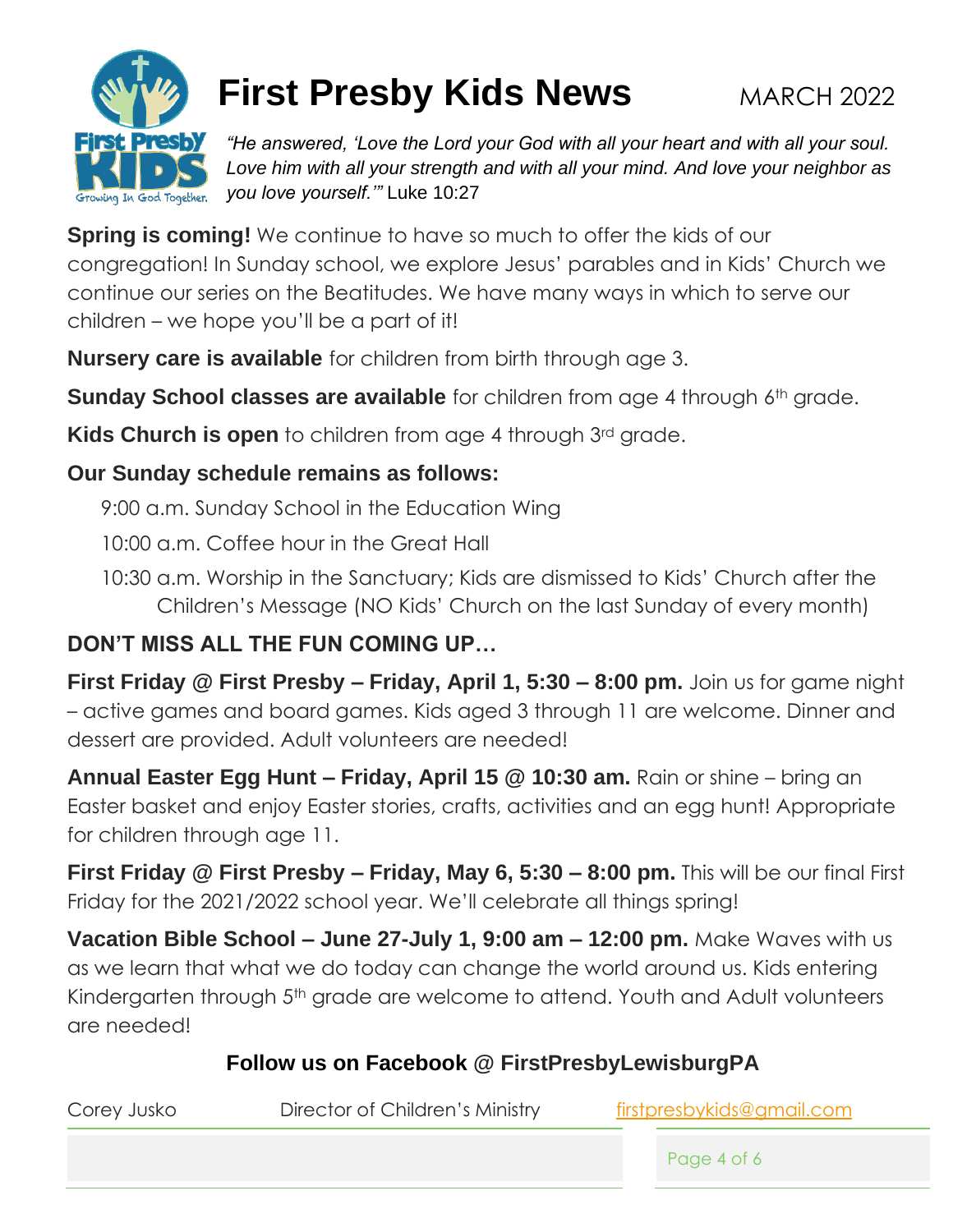

## **First Presby Kids News** MARCH 2022

*"He answered, 'Love the Lord your God with all your heart and with all your soul. Love him with all your strength and with all your mind. And love your neighbor as you love yourself.'"* Luke 10:27

**Spring is coming!** We continue to have so much to offer the kids of our congregation! In Sunday school, we explore Jesus' parables and in Kids' Church we continue our series on the Beatitudes. We have many ways in which to serve our children – we hope you'll be a part of it!

**Nursery care is available** for children from birth through age 3.

**Sunday School classes are available** for children from age 4 through 6<sup>th</sup> grade.

**Kids Church is open** to children from age 4 through 3<sup>rd</sup> grade.

#### **Our Sunday schedule remains as follows:**

9:00 a.m. Sunday School in the Education Wing

10:00 a.m. Coffee hour in the Great Hall

10:30 a.m. Worship in the Sanctuary; Kids are dismissed to Kids' Church after the Children's Message (NO Kids' Church on the last Sunday of every month)

## **DON'T MISS ALL THE FUN COMING UP…**

**First Friday @ First Presby – Friday, April 1, 5:30 – 8:00 pm.** Join us for game night – active games and board games. Kids aged 3 through 11 are welcome. Dinner and dessert are provided. Adult volunteers are needed!

**Annual Easter Egg Hunt – Friday, April 15 @ 10:30 am.** Rain or shine – bring an Easter basket and enjoy Easter stories, crafts, activities and an egg hunt! Appropriate for children through age 11.

**First Friday @ First Presby – Friday, May 6, 5:30 – 8:00 pm.** This will be our final First Friday for the 2021/2022 school year. We'll celebrate all things spring!

**Vacation Bible School – June 27-July 1, 9:00 am – 12:00 pm.** Make Waves with us as we learn that what we do today can change the world around us. Kids entering Kindergarten through 5<sup>th</sup> grade are welcome to attend. Youth and Adult volunteers are needed!

### **Follow us on Facebook @ FirstPresbyLewisburgPA**

| Corey Jusko | Director of Children's Ministry | firstpresbykids@gmail.com |
|-------------|---------------------------------|---------------------------|
|             |                                 | Page 4 of 6               |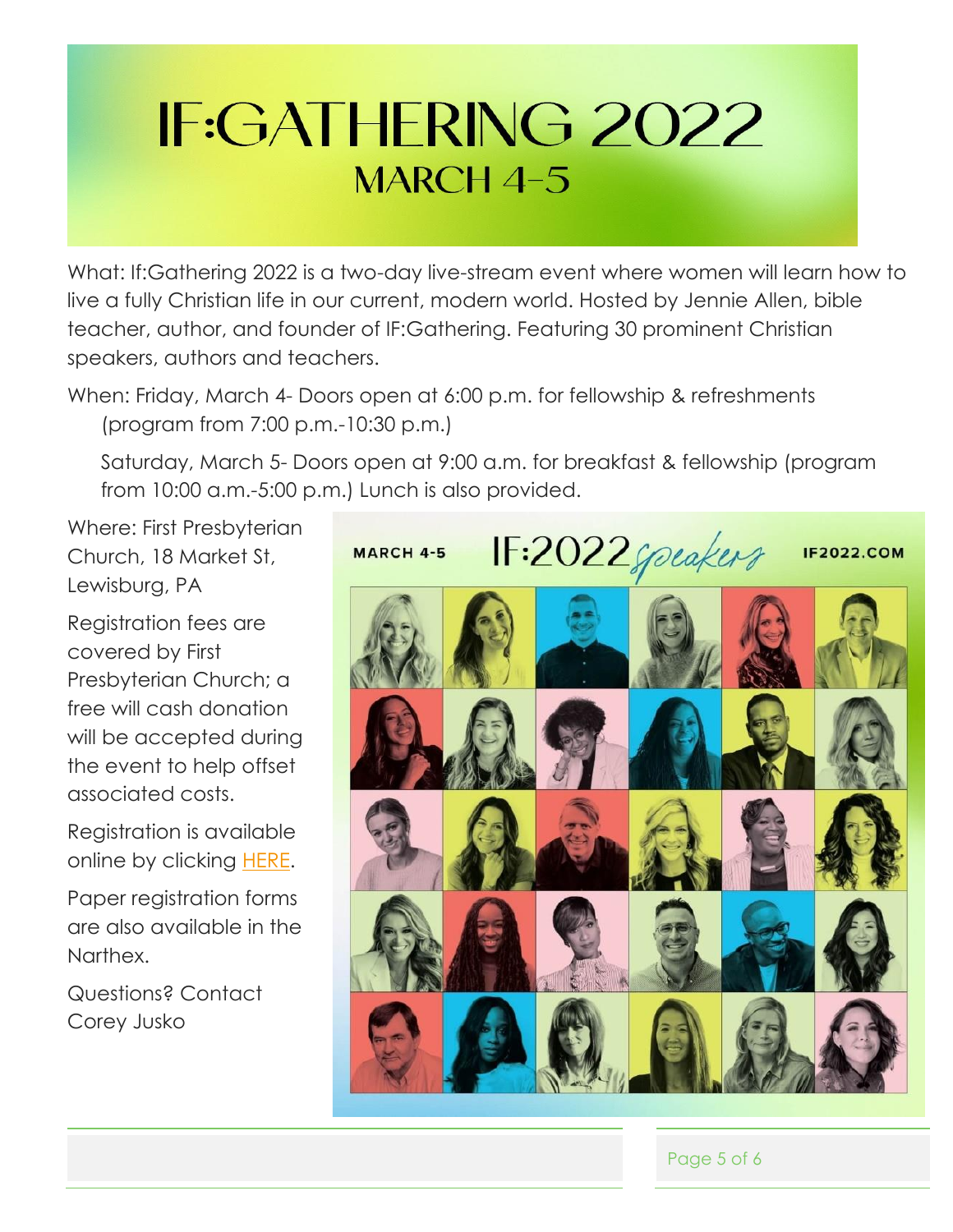# **IF:GATHERING 2022 MARCH 4-5**

What: If:Gathering 2022 is a two-day live-stream event where women will learn how to live a fully Christian life in our current, modern world. Hosted by Jennie Allen, bible teacher, author, and founder of IF:Gathering. Featuring 30 prominent Christian speakers, authors and teachers.

When: Friday, March 4- Doors open at 6:00 p.m. for fellowship & refreshments (program from 7:00 p.m.-10:30 p.m.)

Saturday, March 5- Doors open at 9:00 a.m. for breakfast & fellowship (program from 10:00 a.m.-5:00 p.m.) Lunch is also provided.

Where: First Presbyterian Church, 18 Market St, Lewisburg, PA

Registration fees are covered by First Presbyterian Church; a free will cash donation will be accepted during the event to help offset associated costs.

Registration is available online by clicking **HERE**.

Paper registration forms are also available in the Narthex.

Questions? Contact Corey Jusko



Page 5 of 6